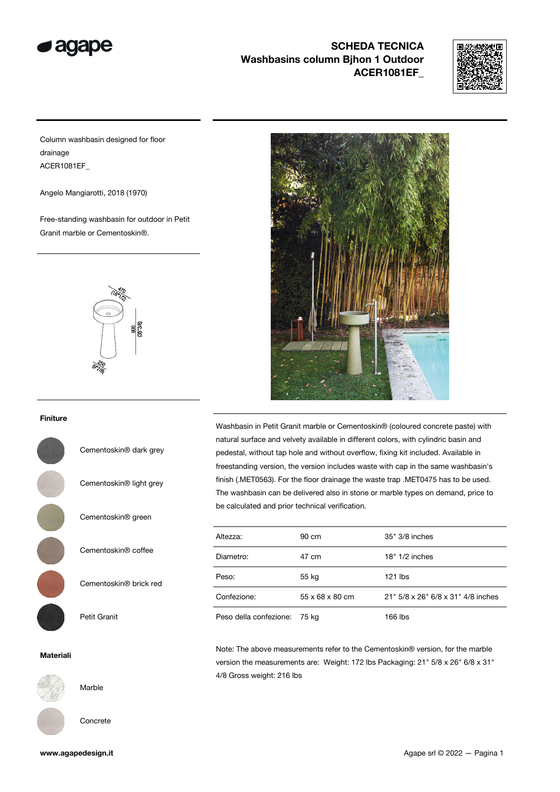

## SCHEDA TECNICA Washbasins column Bihon 1 Outdoor ACER1081EF\_



Column washbasin designed for floor drainage ACER1081EF\_

Angelo Mangiarotti, 2018 (1970)

Free-standing washbasin for outdoor in Petit Granit marble or Cementoskin®.



## Finiture

Cementoskin® dark grey

Cementoskin® light grey Cementoskin® green Cementoskin® coffee Cementoskin® brick red Petit Granit

## Materiali



Marble

Concrete



Washbasin in Petit Granit marble or Cementoskin® (coloured concrete paste) with natural surface and velvety available in different colors, with cylindric basin and pedestal, without tap hole and without overflow, fixing kit included. Available in freestanding version, the version includes waste with cap in the same washbasin's finish (.MET0563). For the floor drainage the waste trap .MET0475 has to be used. The washbasin can be delivered also in stone or marble types on demand, price to be calculated and prior technical verification.

| Altezza:               | 90 cm                       | 35" 3/8 inches                     |
|------------------------|-----------------------------|------------------------------------|
| Diametro:              | 47 cm                       | $18" 1/2$ inches                   |
| Peso:                  | 55 kg                       | 121 lbs                            |
| Confezione:            | $55 \times 68 \times 80$ cm | 21" 5/8 x 26" 6/8 x 31" 4/8 inches |
| Peso della confezione: | 75 ka                       | 166 lbs                            |

Note: The above measurements refer to the Cementoskin® version, for the marble version the measurements are: Weight: 172 lbs Packaging: 21" 5/8 x 26" 6/8 x 31" 4/8 Gross weight: 216 lbs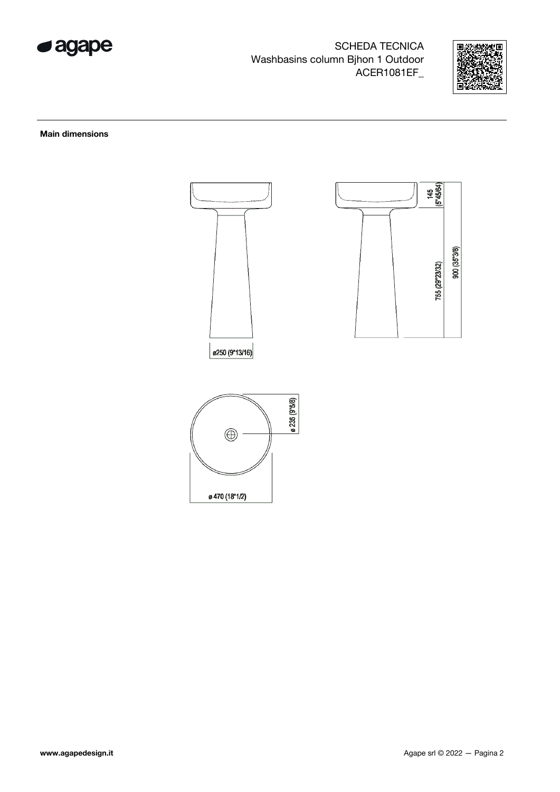

## **SCHEDA TECNICA** Washbasins column Bjhon 1 Outdoor ACER1081EF\_



**Main dimensions**